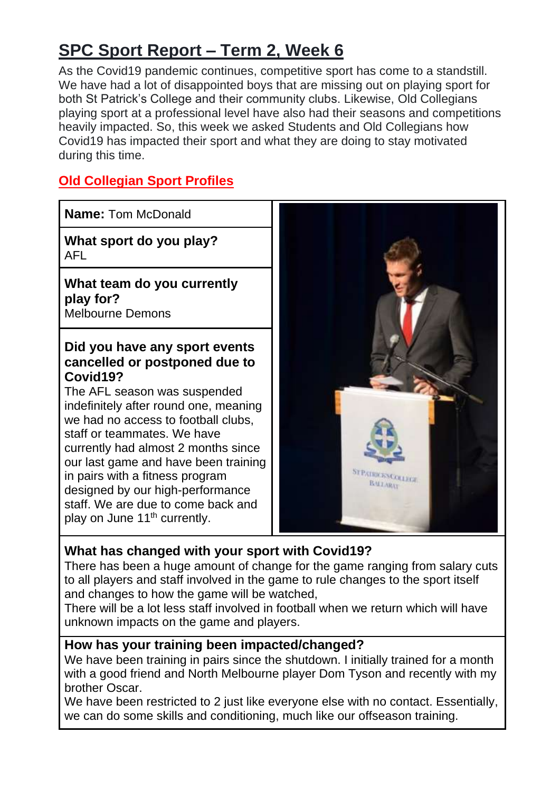# **SPC Sport Report – Term 2, Week 6**

As the Covid19 pandemic continues, competitive sport has come to a standstill. We have had a lot of disappointed boys that are missing out on playing sport for both St Patrick's College and their community clubs. Likewise, Old Collegians playing sport at a professional level have also had their seasons and competitions heavily impacted. So, this week we asked Students and Old Collegians how Covid19 has impacted their sport and what they are doing to stay motivated during this time.

# **Old Collegian Sport Profiles**

**Name:** Tom McDonald **What sport do you play?** AFL **What team do you currently play for?** Melbourne Demons **Did you have any sport events cancelled or postponed due to Covid19?** The AFL season was suspended indefinitely after round one, meaning we had no access to football clubs, staff or teammates. We have currently had almost 2 months since our last game and have been training ST PATHICKS COLLEGE in pairs with a fitness program BALLARAT designed by our high-performance staff. We are due to come back and play on June 11<sup>th</sup> currently.

# **What has changed with your sport with Covid19?**

There has been a huge amount of change for the game ranging from salary cuts to all players and staff involved in the game to rule changes to the sport itself and changes to how the game will be watched,

There will be a lot less staff involved in football when we return which will have unknown impacts on the game and players.

# **How has your training been impacted/changed?**

We have been training in pairs since the shutdown. I initially trained for a month with a good friend and North Melbourne player Dom Tyson and recently with my brother Oscar.

We have been restricted to 2 just like everyone else with no contact. Essentially, we can do some skills and conditioning, much like our offseason training.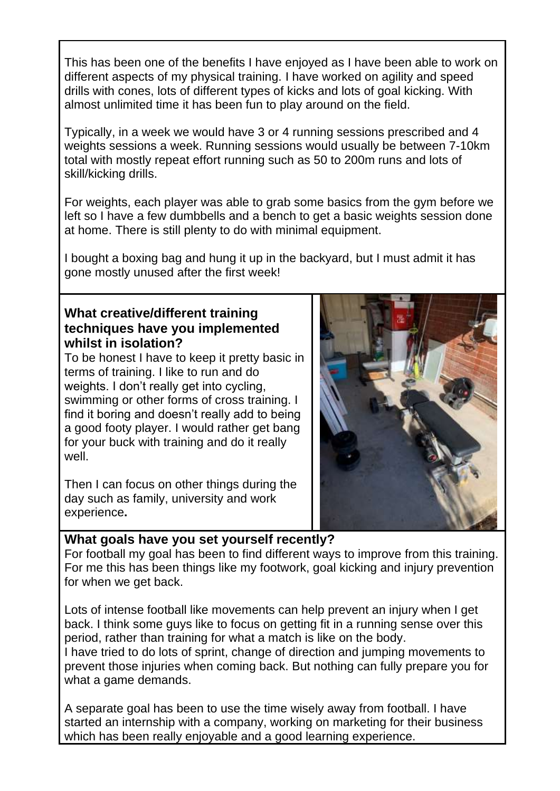This has been one of the benefits I have enjoyed as I have been able to work on different aspects of my physical training. I have worked on agility and speed drills with cones, lots of different types of kicks and lots of goal kicking. With almost unlimited time it has been fun to play around on the field.

Typically, in a week we would have 3 or 4 running sessions prescribed and 4 weights sessions a week. Running sessions would usually be between 7-10km total with mostly repeat effort running such as 50 to 200m runs and lots of skill/kicking drills.

For weights, each player was able to grab some basics from the gym before we left so I have a few dumbbells and a bench to get a basic weights session done at home. There is still plenty to do with minimal equipment.

I bought a boxing bag and hung it up in the backyard, but I must admit it has gone mostly unused after the first week!

# **What creative/different training techniques have you implemented whilst in isolation?**

To be honest I have to keep it pretty basic in terms of training. I like to run and do weights. I don't really get into cycling, swimming or other forms of cross training. I find it boring and doesn't really add to being a good footy player. I would rather get bang for your buck with training and do it really well.

Then I can focus on other things during the day such as family, university and work experience**.**



For football my goal has been to find different ways to improve from this training. For me this has been things like my footwork, goal kicking and injury prevention for when we get back.

Lots of intense football like movements can help prevent an injury when I get back. I think some guys like to focus on getting fit in a running sense over this period, rather than training for what a match is like on the body.

I have tried to do lots of sprint, change of direction and jumping movements to prevent those injuries when coming back. But nothing can fully prepare you for what a game demands.

A separate goal has been to use the time wisely away from football. I have started an internship with a company, working on marketing for their business which has been really enjoyable and a good learning experience.

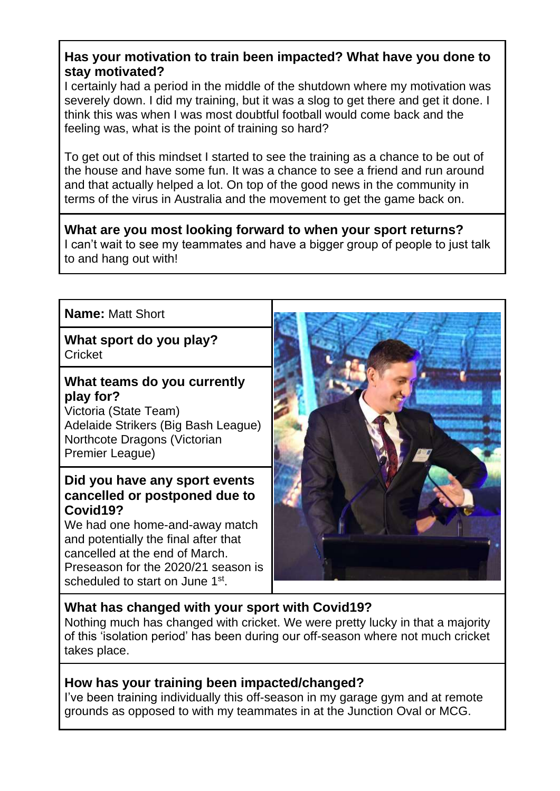# **Has your motivation to train been impacted? What have you done to stay motivated?**

I certainly had a period in the middle of the shutdown where my motivation was severely down. I did my training, but it was a slog to get there and get it done. I think this was when I was most doubtful football would come back and the feeling was, what is the point of training so hard?

To get out of this mindset I started to see the training as a chance to be out of the house and have some fun. It was a chance to see a friend and run around and that actually helped a lot. On top of the good news in the community in terms of the virus in Australia and the movement to get the game back on.

#### **What are you most looking forward to when your sport returns?**

I can't wait to see my teammates and have a bigger group of people to just talk to and hang out with!

# **Name:** Matt Short

**What sport do you play? Cricket** 

# **What teams do you currently play for?**

Victoria (State Team) Adelaide Strikers (Big Bash League) Northcote Dragons (Victorian Premier League)

# **Did you have any sport events cancelled or postponed due to Covid19?**

We had one home-and-away match and potentially the final after that cancelled at the end of March. Preseason for the 2020/21 season is scheduled to start on June 1st.



# **What has changed with your sport with Covid19?**

Nothing much has changed with cricket. We were pretty lucky in that a majority of this 'isolation period' has been during our off-season where not much cricket takes place.

# **How has your training been impacted/changed?**

I've been training individually this off-season in my garage gym and at remote grounds as opposed to with my teammates in at the Junction Oval or MCG.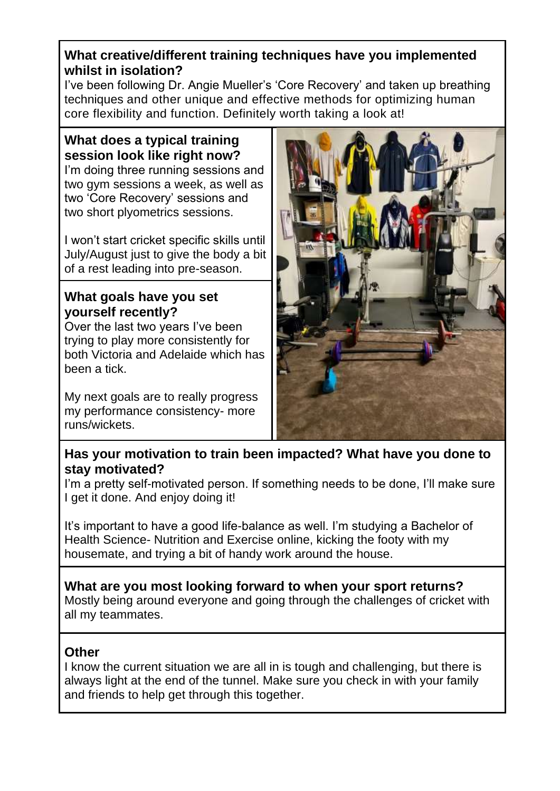# **What creative/different training techniques have you implemented whilst in isolation?**

I've been following Dr. Angie Mueller's 'Core Recovery' and taken up breathing techniques and other unique and effective methods for optimizing human core flexibility and function. Definitely worth taking a look at!

# **What does a typical training session look like right now?**

I'm doing three running sessions and two gym sessions a week, as well as two 'Core Recovery' sessions and two short plyometrics sessions.

I won't start cricket specific skills until July/August just to give the body a bit of a rest leading into pre-season.

# **What goals have you set yourself recently?**

Over the last two years I've been trying to play more consistently for both Victoria and Adelaide which has been a tick.

My next goals are to really progress my performance consistency- more runs/wickets.



# **Has your motivation to train been impacted? What have you done to stay motivated?**

I'm a pretty self-motivated person. If something needs to be done, I'll make sure I get it done. And enjoy doing it!

It's important to have a good life-balance as well. I'm studying a Bachelor of Health Science- Nutrition and Exercise online, kicking the footy with my housemate, and trying a bit of handy work around the house.

**What are you most looking forward to when your sport returns?** Mostly being around everyone and going through the challenges of cricket with all my teammates.

# **Other**

I know the current situation we are all in is tough and challenging, but there is always light at the end of the tunnel. Make sure you check in with your family and friends to help get through this together.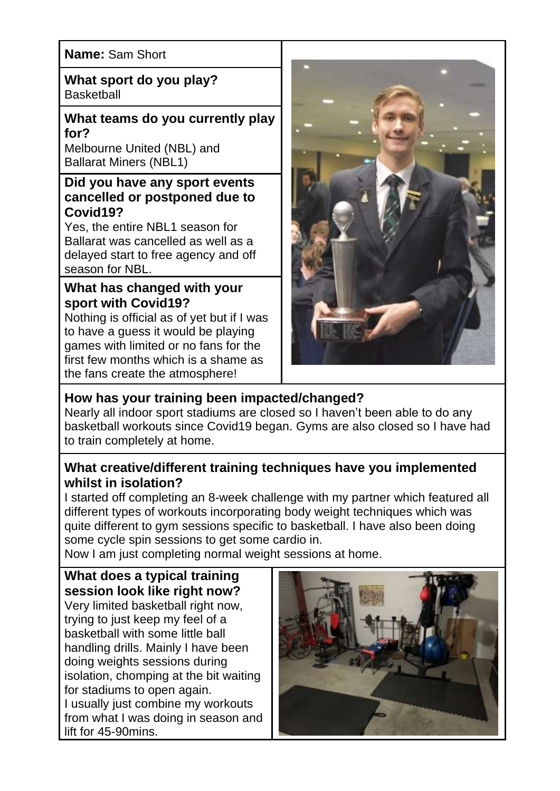# **Name:** Sam Short

**What sport do you play? Basketball** 

#### **What teams do you currently play for?**

Melbourne United (NBL) and Ballarat Miners (NBL1)

# **Did you have any sport events cancelled or postponed due to Covid19?**

Yes, the entire NBL1 season for Ballarat was cancelled as well as a delayed start to free agency and off season for NBL.

# **What has changed with your sport with Covid19?**

Nothing is official as of yet but if I was to have a guess it would be playing games with limited or no fans for the first few months which is a shame as the fans create the atmosphere!



# **How has your training been impacted/changed?**

Nearly all indoor sport stadiums are closed so I haven't been able to do any basketball workouts since Covid19 began. Gyms are also closed so I have had to train completely at home.

# **What creative/different training techniques have you implemented whilst in isolation?**

I started off completing an 8-week challenge with my partner which featured all different types of workouts incorporating body weight techniques which was quite different to gym sessions specific to basketball. I have also been doing some cycle spin sessions to get some cardio in.

Now I am just completing normal weight sessions at home.

# **What does a typical training session look like right now?**

Very limited basketball right now, trying to just keep my feel of a basketball with some little ball handling drills. Mainly I have been doing weights sessions during isolation, chomping at the bit waiting for stadiums to open again. I usually just combine my workouts from what I was doing in season and lift for 45-90mins.

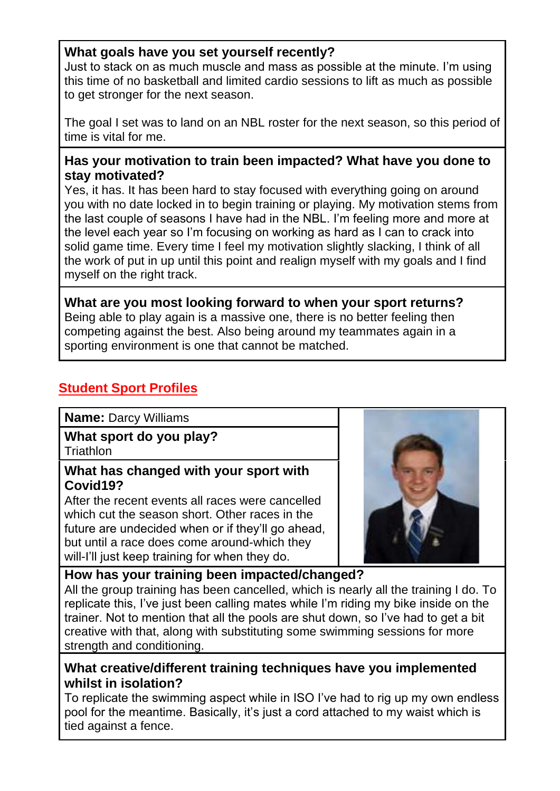# **What goals have you set yourself recently?**

Just to stack on as much muscle and mass as possible at the minute. I'm using this time of no basketball and limited cardio sessions to lift as much as possible to get stronger for the next season.

The goal I set was to land on an NBL roster for the next season, so this period of time is vital for me.

# **Has your motivation to train been impacted? What have you done to stay motivated?**

Yes, it has. It has been hard to stay focused with everything going on around you with no date locked in to begin training or playing. My motivation stems from the last couple of seasons I have had in the NBL. I'm feeling more and more at the level each year so I'm focusing on working as hard as I can to crack into solid game time. Every time I feel my motivation slightly slacking, I think of all the work of put in up until this point and realign myself with my goals and I find myself on the right track.

**What are you most looking forward to when your sport returns?** Being able to play again is a massive one, there is no better feeling then competing against the best. Also being around my teammates again in a sporting environment is one that cannot be matched.

# **Student Sport Profiles**

#### **Name:** Darcy Williams

# **What sport do you play?**

**Triathlon** 

#### **What has changed with your sport with Covid19?**

After the recent events all races were cancelled which cut the season short. Other races in the future are undecided when or if they'll go ahead, but until a race does come around-which they will-I'll just keep training for when they do.



# **How has your training been impacted/changed?**

All the group training has been cancelled, which is nearly all the training I do. To replicate this, I've just been calling mates while I'm riding my bike inside on the trainer. Not to mention that all the pools are shut down, so I've had to get a bit creative with that, along with substituting some swimming sessions for more strength and conditioning.

# **What creative/different training techniques have you implemented whilst in isolation?**

To replicate the swimming aspect while in ISO I've had to rig up my own endless pool for the meantime. Basically, it's just a cord attached to my waist which is tied against a fence.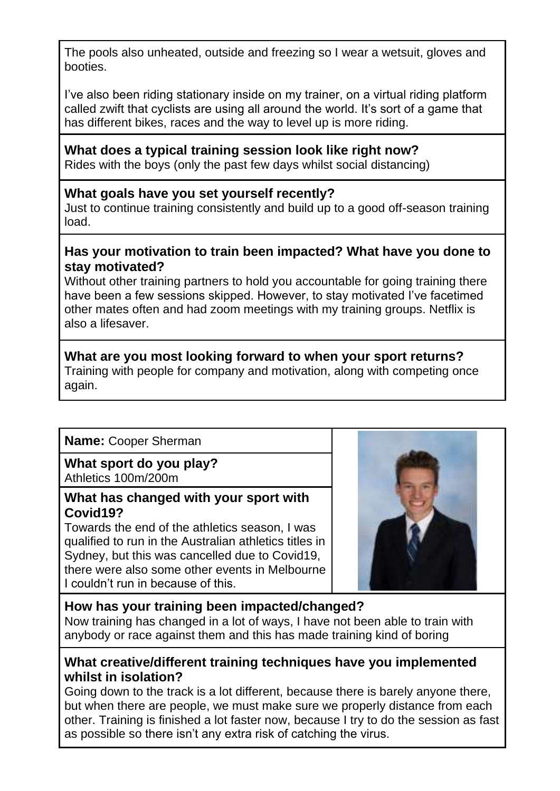The pools also unheated, outside and freezing so I wear a wetsuit, gloves and booties.

I've also been riding stationary inside on my trainer, on a virtual riding platform called zwift that cyclists are using all around the world. It's sort of a game that has different bikes, races and the way to level up is more riding.

#### **What does a typical training session look like right now?**

Rides with the boys (only the past few days whilst social distancing)

# **What goals have you set yourself recently?**

Just to continue training consistently and build up to a good off-season training load.

#### **Has your motivation to train been impacted? What have you done to stay motivated?**

Without other training partners to hold you accountable for going training there have been a few sessions skipped. However, to stay motivated I've facetimed other mates often and had zoom meetings with my training groups. Netflix is also a lifesaver.

#### **What are you most looking forward to when your sport returns?** Training with people for company and motivation, along with competing once again.

# **Name:** Cooper Sherman

#### **What sport do you play?** Athletics 100m/200m

# **What has changed with your sport with Covid19?**

Towards the end of the athletics season, I was qualified to run in the Australian athletics titles in Sydney, but this was cancelled due to Covid19, there were also some other events in Melbourne I couldn't run in because of this.



# **How has your training been impacted/changed?**

Now training has changed in a lot of ways, I have not been able to train with anybody or race against them and this has made training kind of boring

# **What creative/different training techniques have you implemented whilst in isolation?**

Going down to the track is a lot different, because there is barely anyone there, but when there are people, we must make sure we properly distance from each other. Training is finished a lot faster now, because I try to do the session as fast as possible so there isn't any extra risk of catching the virus.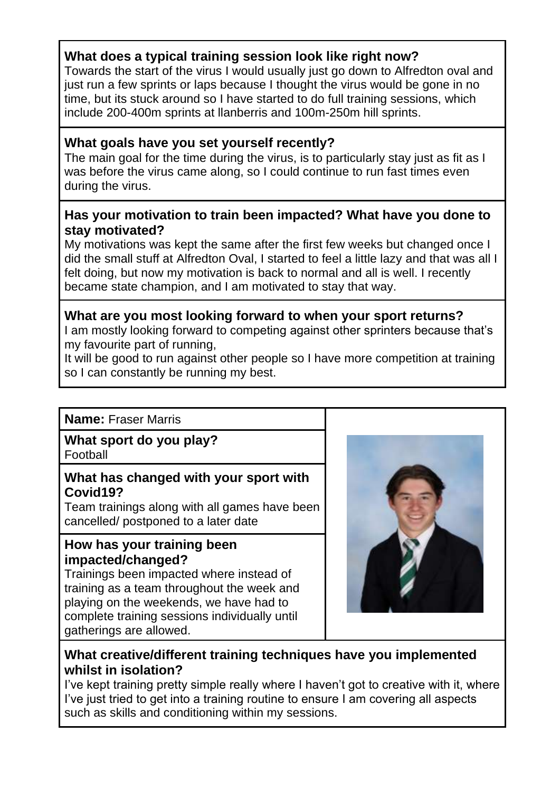# **What does a typical training session look like right now?**

Towards the start of the virus I would usually just go down to Alfredton oval and just run a few sprints or laps because I thought the virus would be gone in no time, but its stuck around so I have started to do full training sessions, which include 200-400m sprints at llanberris and 100m-250m hill sprints.

# **What goals have you set yourself recently?**

The main goal for the time during the virus, is to particularly stay just as fit as I was before the virus came along, so I could continue to run fast times even during the virus.

#### **Has your motivation to train been impacted? What have you done to stay motivated?**

My motivations was kept the same after the first few weeks but changed once I did the small stuff at Alfredton Oval, I started to feel a little lazy and that was all I felt doing, but now my motivation is back to normal and all is well. I recently became state champion, and I am motivated to stay that way.

#### **What are you most looking forward to when your sport returns?** I am mostly looking forward to competing against other sprinters because that's my favourite part of running,

It will be good to run against other people so I have more competition at training so I can constantly be running my best.

# **Name:** Fraser Marris

# **What sport do you play?**

Football

# **What has changed with your sport with Covid19?**

Team trainings along with all games have been cancelled/ postponed to a later date

#### **How has your training been impacted/changed?**

Trainings been impacted where instead of training as a team throughout the week and playing on the weekends, we have had to complete training sessions individually until gatherings are allowed.



# **What creative/different training techniques have you implemented whilst in isolation?**

I've kept training pretty simple really where I haven't got to creative with it, where I've just tried to get into a training routine to ensure I am covering all aspects such as skills and conditioning within my sessions.